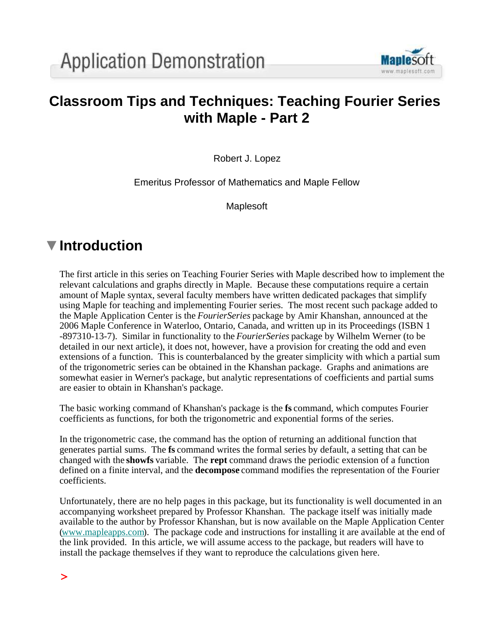

# **Classroom Tips and Techniques: Teaching Fourier Series with Maple - Part 2**

Robert J. Lopez

Emeritus Professor of Mathematics and Maple Fellow

Maplesoft

# **Introduction**

The first article in this series on Teaching Fourier Series with Maple described how to implement the relevant calculations and graphs directly in Maple. Because these computations require a certain amount of Maple syntax, several faculty members have written dedicated packages that simplify using Maple for teaching and implementing Fourier series. The most recent such package added to the Maple Application Center is the *FourierSeries* package by Amir Khanshan, announced at the 2006 Maple Conference in Waterloo, Ontario, Canada, and written up in its Proceedings (ISBN 1 -897310-13-7). Similar in functionality to the *FourierSeries* package by Wilhelm Werner (to be detailed in our next article), it does not, however, have a provision for creating the odd and even extensions of a function. This is counterbalanced by the greater simplicity with which a partial sum of the trigonometric series can be obtained in the Khanshan package. Graphs and animations are somewhat easier in Werner's package, but analytic representations of coefficients and partial sums are easier to obtain in Khanshan's package.

The basic working command of Khanshan's package is the **fs** command, which computes Fourier coefficients as functions, for both the trigonometric and exponential forms of the series.

In the trigonometric case, the command has the option of returning an additional function that generates partial sums. The **fs** command writes the formal series by default, a setting that can be changed with the **showfs** variable. The **rept** command draws the periodic extension of a function defined on a finite interval, and the **decompose** command modifies the representation of the Fourier coefficients.

Unfortunately, there are no help pages in this package, but its functionality is well documented in an accompanying worksheet prepared by Professor Khanshan. The package itself was initially made available to the author by Professor Khanshan, but is now available on the Maple Application Center (www.mapleapps.com). The package code and instructions for installing it are available at the end of the link provided. In this article, we will assume access to the package, but readers will have to install the package themselves if they want to reproduce the calculations given here.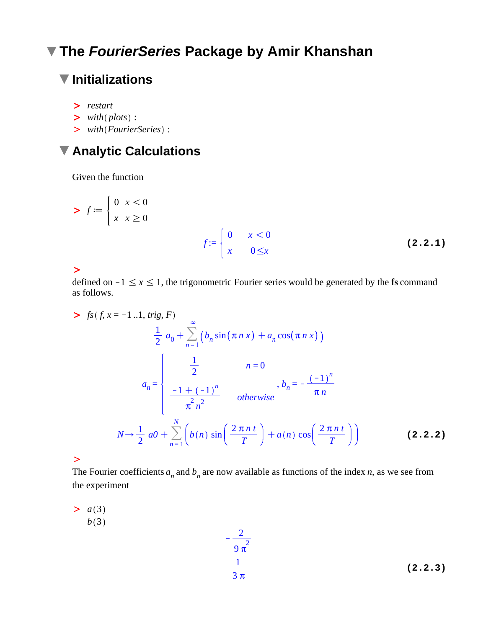# **The FourierSeries Package by Amir Khanshan**

# **Initializations**

- > restart
- $\triangleright$  with (plots) :
- > with (FourierSeries) :

# **Analytic Calculations**

Given the function

> 
$$
f := \begin{cases} 0 & x < 0 \\ x & x \ge 0 \end{cases}
$$
  

$$
f := \begin{cases} 0 & x < 0 \\ x & 0 \le x \end{cases}
$$
 (2.2.1)

 $\geq$ 

defined on  $-1 \le x \le 1$ , the trigonometric Fourier series would be generated by the **fs** command as follows.

> 
$$
f_s(f, x = -1..1, trig, F)
$$
  
\n
$$
\frac{1}{2} a_0 + \sum_{n=1}^{\infty} (b_n \sin(\pi n x) + a_n \cos(\pi n x))
$$
\n
$$
a_n = \begin{cases}\n\frac{1}{2} & n = 0 \\
\frac{-1 + (-1)^n}{\pi n^2} & otherwise\n\end{cases}, b_n = -\frac{(-1)^n}{\pi n}
$$
\n
$$
N \rightarrow \frac{1}{2} a_0 + \sum_{n=1}^{N} \left( b(n) \sin\left(\frac{2\pi n t}{T}\right) + a(n) \cos\left(\frac{2\pi n t}{T}\right) \right)
$$
\n(2.2.2)

 $\geq$ 

The Fourier coefficients  $a_n$  and  $b_n$  are now available as functions of the index *n*, as we see from the experiment

 $\overline{\phantom{0}}$ 

 $> a(3)$  $b(3)$ 

$$
\frac{2}{9\pi^2}
$$
\n
$$
\frac{1}{3\pi}
$$
\n(2.2.3)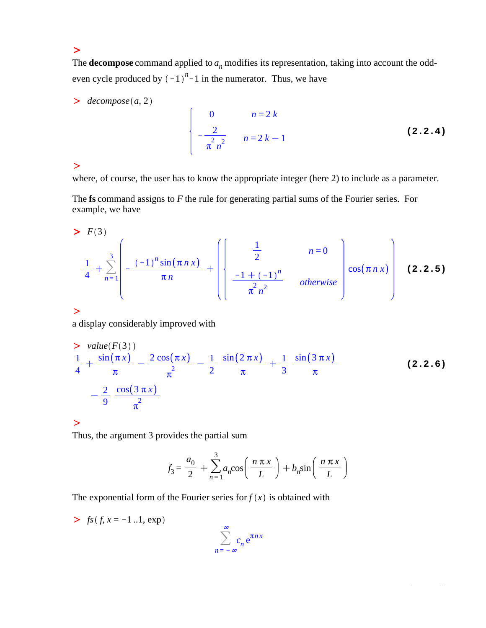The **decompose** command applied to *a<sup>n</sup>* modifies its representation, taking into account the oddeven cycle produced by  $(-1)^{n}-1$  in the numerator. Thus, we have

 $\geq$  *decompose* (*a*, 2

0 
$$
n=2k
$$
  
\n $-\frac{2}{\pi n^2}$   $n=2k-1$  (2.2.4)

#### $\geq$

where, of course, the user has to know the appropriate integer (here 2) to include as a parameter.

The **fs** command assigns to *F* the rule for generating partial sums of the Fourier series. For example, we have

> 
$$
F(3)
$$
  
\n
$$
\frac{1}{4} + \sum_{n=1}^{3} \left( -\frac{(-1)^n \sin(\pi n x)}{\pi n} + \left( \frac{\frac{1}{2}}{-1 + (-1)^n} \right) \text{ otherwise } \right) \cos(\pi n x) \right)
$$
\n(2.2.5)

 $\geq$ 

a display considerably improved with

$$
\frac{2 \text{ value}(F(3))}{4} + \frac{\sin(\pi x)}{\pi} - \frac{2 \cos(\pi x)}{\pi^2} - \frac{1}{2} \frac{\sin(2 \pi x)}{\pi} + \frac{1}{3} \frac{\sin(3 \pi x)}{\pi}
$$
\n
$$
- \frac{2}{9} \frac{\cos(3 \pi x)}{\pi^2}
$$
\n(2.2.6)

#### $\geq$

Thus, the argument 3 provides the partial sum

$$
f_3 = \frac{a_0}{2} + \sum_{n=1}^{3} a_n \cos\left(\frac{n\pi x}{L}\right) + b_n \sin\left(\frac{n\pi x}{L}\right)
$$

The exponential form of the Fourier series for  $f(x)$  is obtained with

 $> f<sub>s</sub>(f, x = -1..1, exp)$ 

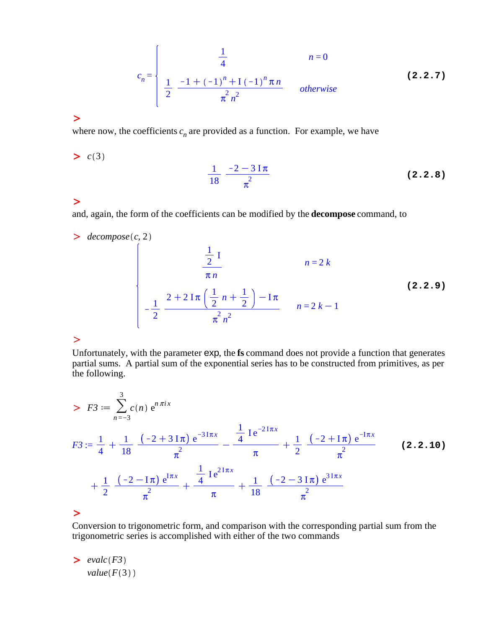$$
c_n = \begin{cases} \frac{1}{4} & n = 0 \\ \frac{1}{2} & \frac{-1 + (-1)^n + 1 (-1)^n \pi n}{\pi n^2} & otherwise \end{cases}
$$
 (2.2.7)

 $\geq c(3)$ 

where now, the coefficients  $c_n$  are provided as a function. For example, we have

#### **(2.2.8)** 1 18  $-2 - 3$  I  $\pi$  $\pi^2$

#### $\geq$

and, again, the form of the coefficients can be modified by the **decompose** command, to

## $\geq$  *decompose* (*c*, 2

#### **(2.2.9)** 1  $\frac{1}{2}$  I π *n n* = 2 *k*  $\frac{1}{\sqrt{2}}$ 2  $2 + 2 \operatorname{I} \pi \left( \frac{1}{2} \right)$ 2  $n + \frac{1}{2}$ 2  $-\mathbf{I}\pi$  $\pi^2 n^2$  $n = 2k - 1$

### $\geq$

Unfortunately, with the parameter exp, the **fs** command does not provide a function that generates partial sums. A partial sum of the exponential series has to be constructed from primitives, as per the following.

$$
F3 := \sum_{n=-3}^{3} c(n) e^{n \pi i x}
$$
  
\n
$$
F3 := \frac{1}{4} + \frac{1}{18} \frac{(-2 + 3 \text{Im}) e^{-3 \text{Im} x}}{\pi^2} - \frac{\frac{1}{4} \text{Im} e^{-2 \text{Im} x}}{\pi} + \frac{1}{2} \frac{(-2 + \text{Im}) e^{-\text{Im} x}}{\pi^2}
$$
  
\n
$$
+ \frac{1}{2} \frac{(-2 - \text{Im}) e^{\text{Im} x}}{\pi^2} + \frac{\frac{1}{4} \text{Im} e^{2 \text{Im} x}}{\pi} + \frac{1}{18} \frac{(-2 - 3 \text{Im}) e^{3 \text{Im} x}}{\pi^2}
$$
  
\n(2.2.10)

#### $\geq$

Conversion to trigonometric form, and comparison with the corresponding partial sum from the trigonometric series is accomplished with either of the two commands

$$
\begin{aligned}\n> \; \mathit{evalc}(F3) \\
\mathit{value}(F(3))\n\end{aligned}
$$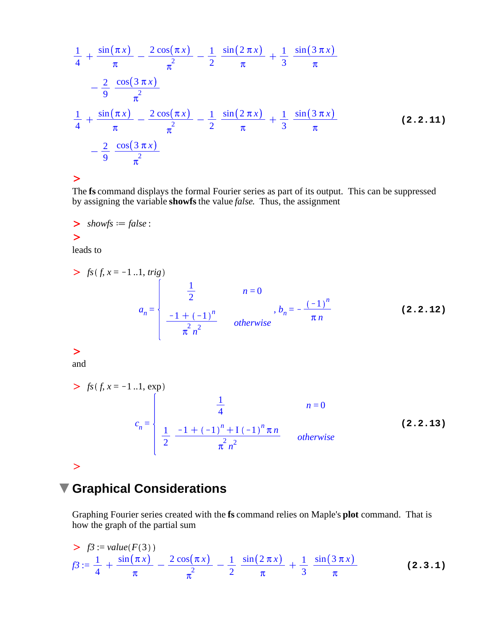$$
\frac{1}{4} + \frac{\sin(\pi x)}{\pi} - \frac{2\cos(\pi x)}{\pi^2} - \frac{1}{2} \frac{\sin(2\pi x)}{\pi} + \frac{1}{3} \frac{\sin(3\pi x)}{\pi}
$$
\n
$$
- \frac{2}{9} \frac{\cos(3\pi x)}{\pi^2}
$$
\n
$$
\frac{1}{4} + \frac{\sin(\pi x)}{\pi} - \frac{2\cos(\pi x)}{\pi^2} - \frac{1}{2} \frac{\sin(2\pi x)}{\pi} + \frac{1}{3} \frac{\sin(3\pi x)}{\pi}
$$
\n
$$
- \frac{2}{9} \frac{\cos(3\pi x)}{\pi^2}
$$
\n(2.2.11)

The **fs** command displays the formal Fourier series as part of its output. This can be suppressed by assigning the variable **showfs** the value *false*. Thus, the assignment

 $\gt$  *showfs* = *false* :  $\geq$ 

leads to

> 
$$
f_s(f, x = -1..1, trig)
$$
  

$$
a_n = \begin{cases} \frac{1}{2} & n = 0 \\ \frac{-1 + (-1)^n}{\pi^n} & otherwise \end{cases}, b_n = -\frac{(-1)^n}{\pi n}
$$
 (2.2.12)

 $\geq$ 

and

> 
$$
f_s(f, x = -1..1, \exp)
$$
  
\n
$$
c_n = \begin{cases}\n\frac{1}{4} & n = 0 \\
\frac{1}{2} & \frac{-1 + (-1)^n + 1 (-1)^n \pi n}{\pi n^2} & otherwise\n\end{cases}
$$
\n(2.2.13)

## $\geq$

# **Graphical Considerations**

Graphing Fourier series created with the **fs** command relies on Maple's **plot** command. That is how the graph of the partial sum

> 
$$
f3 := value(F(3))
$$
  
\n
$$
f3 := \frac{1}{4} + \frac{\sin(\pi x)}{\pi} - \frac{2\cos(\pi x)}{\pi^2} - \frac{1}{2} \frac{\sin(2\pi x)}{\pi} + \frac{1}{3} \frac{\sin(3\pi x)}{\pi}
$$
\n(2.3.1)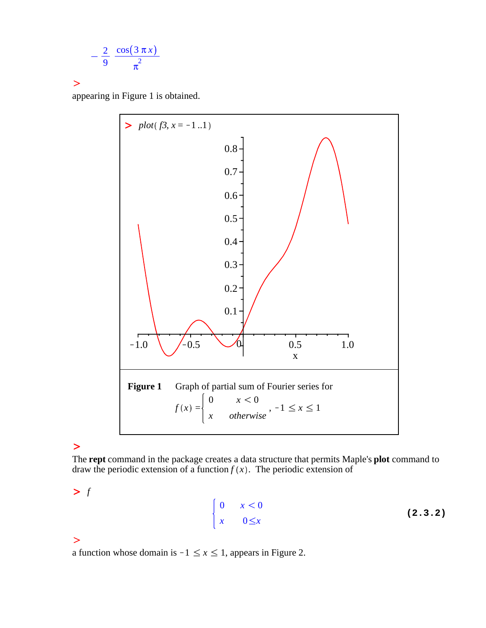$$
-\frac{2}{9}\frac{\cos(3\,\pi\,x)}{\pi^2}
$$

appearing in Figure 1 is obtained.



### $\geq$

The **rept** command in the package creates a data structure that permits Maple's **plot** command to draw the periodic extension of a function  $f(x)$ . The periodic extension of

 $\sum f$ 

$$
\begin{array}{ccccc}\n0 & x < 0 \\
x & 0 \leq x\n\end{array}
$$
\n(2.3.2)

### $\geq$

a function whose domain is  $-1 \le x \le 1$ , appears in Figure 2.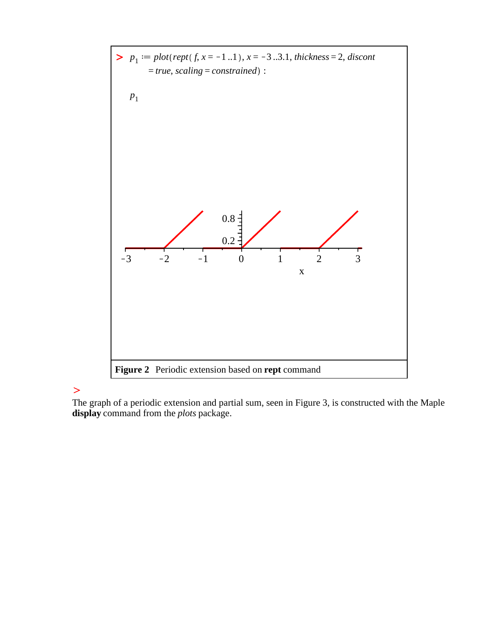

The graph of a periodic extension and partial sum, seen in Figure 3, is constructed with the Maple **display** command from the *plots* package.